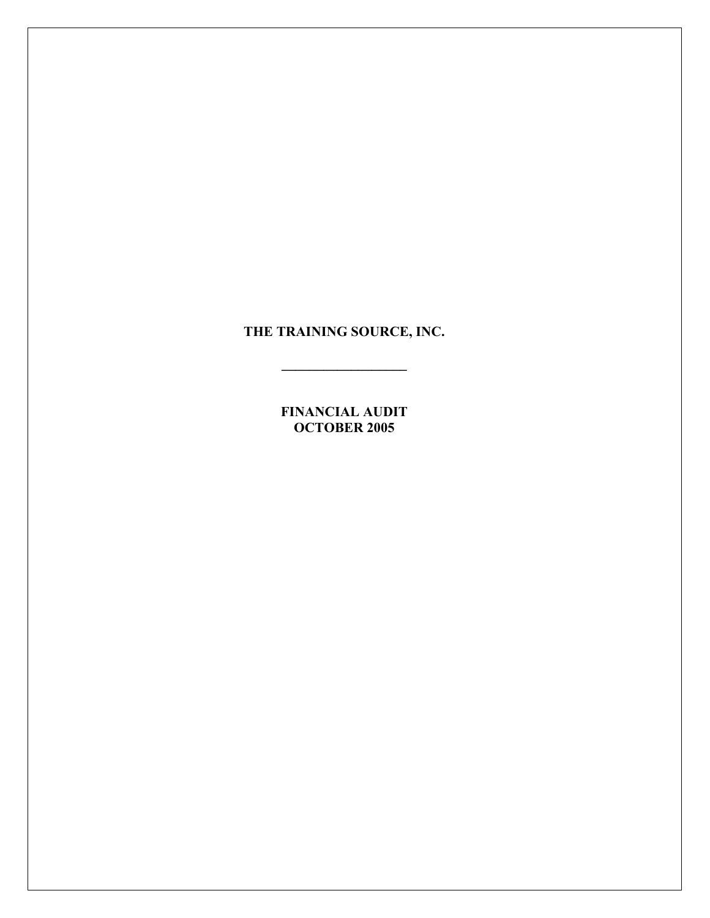**THE TRAINING SOURCE, INC.** 

**\_\_\_\_\_\_\_\_\_\_\_\_\_\_\_\_\_\_** 

**FINANCIAL AUDIT OCTOBER 2005**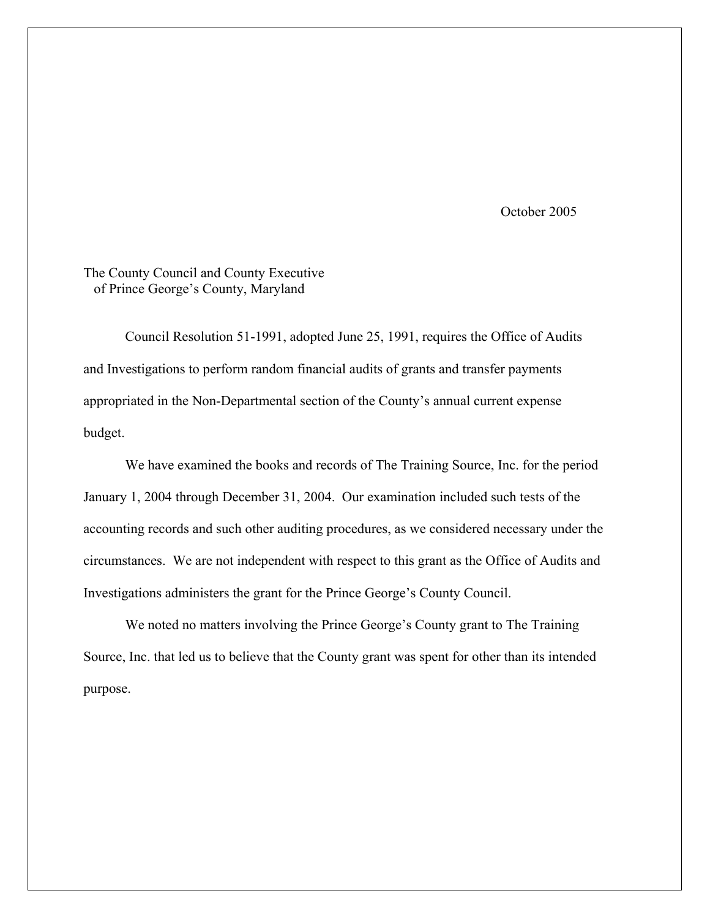October 2005

# The County Council and County Executive of Prince George's County, Maryland

 Council Resolution 51-1991, adopted June 25, 1991, requires the Office of Audits and Investigations to perform random financial audits of grants and transfer payments appropriated in the Non-Departmental section of the County's annual current expense budget.

We have examined the books and records of The Training Source, Inc. for the period January 1, 2004 through December 31, 2004. Our examination included such tests of the accounting records and such other auditing procedures, as we considered necessary under the circumstances. We are not independent with respect to this grant as the Office of Audits and Investigations administers the grant for the Prince George's County Council.

 We noted no matters involving the Prince George's County grant to The Training Source, Inc. that led us to believe that the County grant was spent for other than its intended purpose.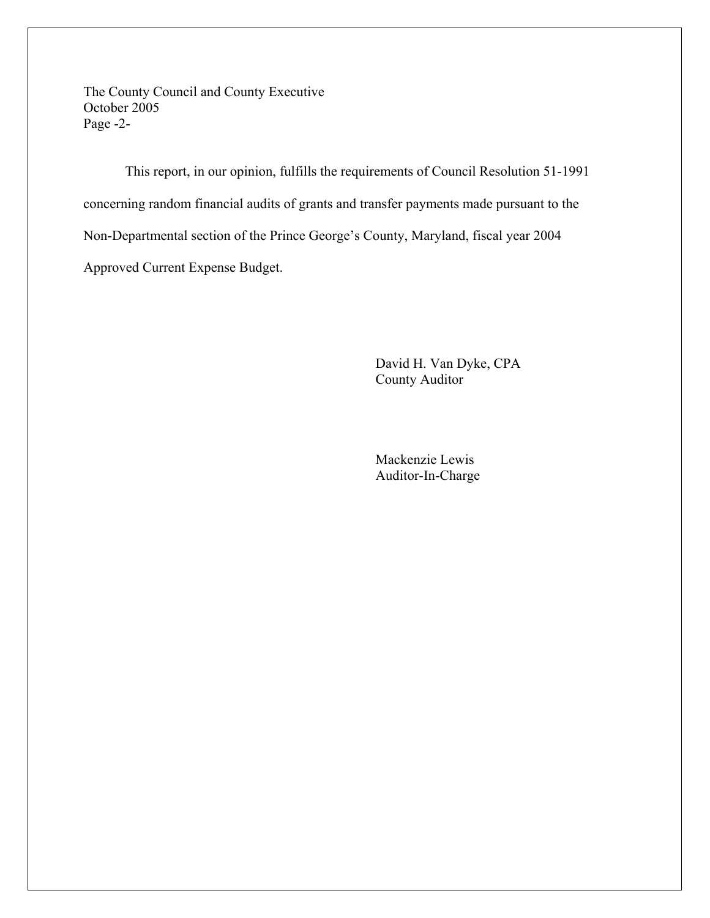The County Council and County Executive October 2005 Page -2-

 This report, in our opinion, fulfills the requirements of Council Resolution 51-1991 concerning random financial audits of grants and transfer payments made pursuant to the Non-Departmental section of the Prince George's County, Maryland, fiscal year 2004 Approved Current Expense Budget.

> David H. Van Dyke, CPA County Auditor

 Mackenzie Lewis Auditor-In-Charge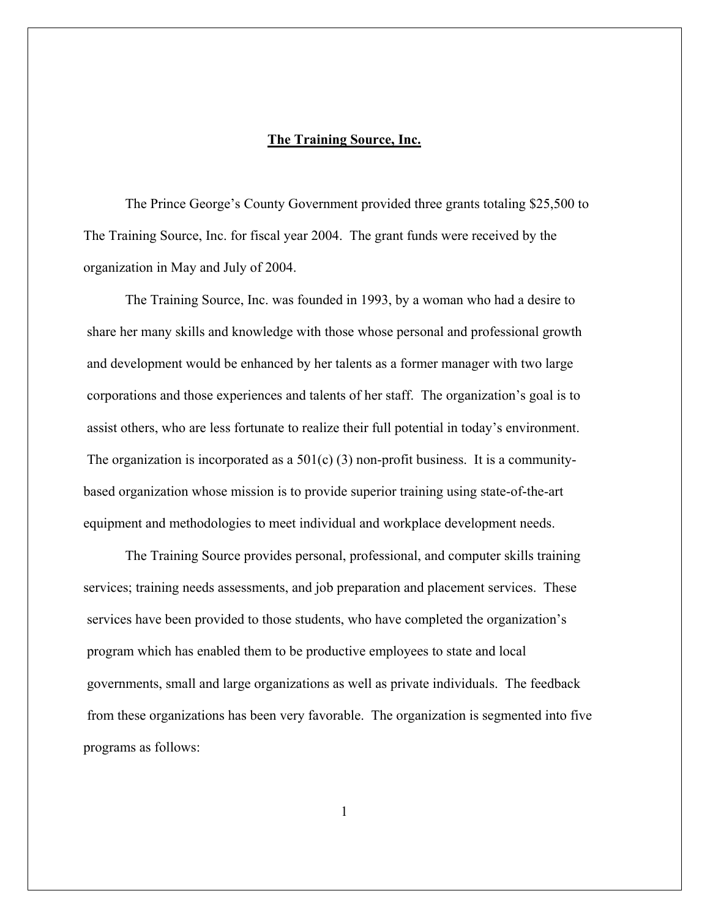#### **The Training Source, Inc.**

The Prince George's County Government provided three grants totaling \$25,500 to The Training Source, Inc. for fiscal year 2004. The grant funds were received by the organization in May and July of 2004.

 The Training Source, Inc. was founded in 1993, by a woman who had a desire to share her many skills and knowledge with those whose personal and professional growth and development would be enhanced by her talents as a former manager with two large corporations and those experiences and talents of her staff. The organization's goal is to assist others, who are less fortunate to realize their full potential in today's environment. The organization is incorporated as a  $501(c)$  (3) non-profit business. It is a communitybased organization whose mission is to provide superior training using state-of-the-art equipment and methodologies to meet individual and workplace development needs.

 The Training Source provides personal, professional, and computer skills training services; training needs assessments, and job preparation and placement services. These services have been provided to those students, who have completed the organization's program which has enabled them to be productive employees to state and local governments, small and large organizations as well as private individuals. The feedback from these organizations has been very favorable. The organization is segmented into five programs as follows: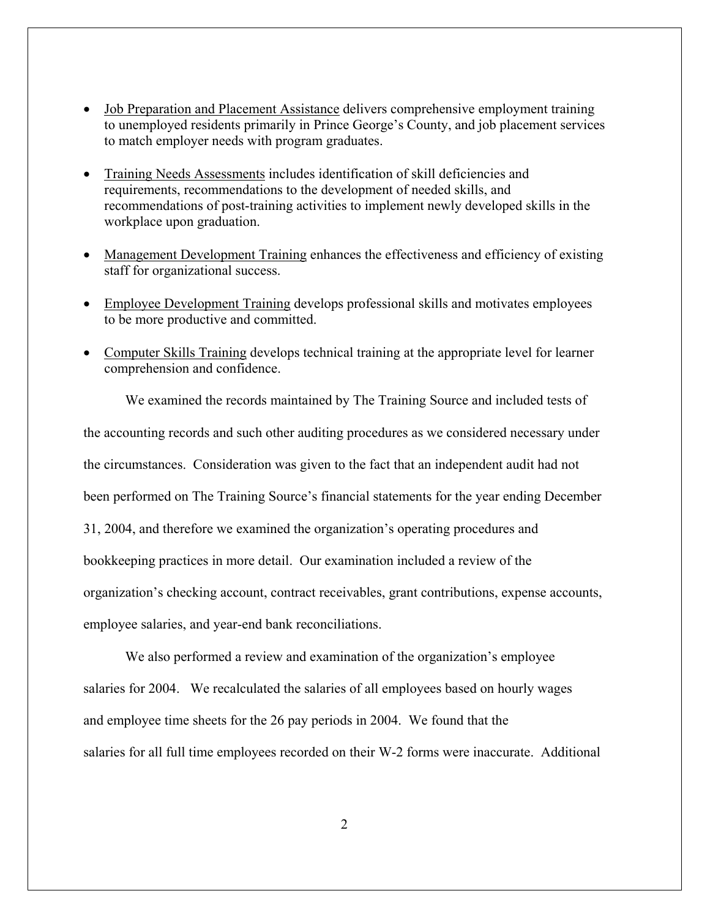- Job Preparation and Placement Assistance delivers comprehensive employment training to unemployed residents primarily in Prince George's County, and job placement services to match employer needs with program graduates.
- Training Needs Assessments includes identification of skill deficiencies and requirements, recommendations to the development of needed skills, and recommendations of post-training activities to implement newly developed skills in the workplace upon graduation.
- Management Development Training enhances the effectiveness and efficiency of existing staff for organizational success.
- Employee Development Training develops professional skills and motivates employees to be more productive and committed.
- Computer Skills Training develops technical training at the appropriate level for learner comprehension and confidence.

 We examined the records maintained by The Training Source and included tests of the accounting records and such other auditing procedures as we considered necessary under the circumstances. Consideration was given to the fact that an independent audit had not been performed on The Training Source's financial statements for the year ending December 31, 2004, and therefore we examined the organization's operating procedures and bookkeeping practices in more detail. Our examination included a review of the organization's checking account, contract receivables, grant contributions, expense accounts, employee salaries, and year-end bank reconciliations.

We also performed a review and examination of the organization's employee salaries for 2004. We recalculated the salaries of all employees based on hourly wages and employee time sheets for the 26 pay periods in 2004. We found that the salaries for all full time employees recorded on their W-2 forms were inaccurate. Additional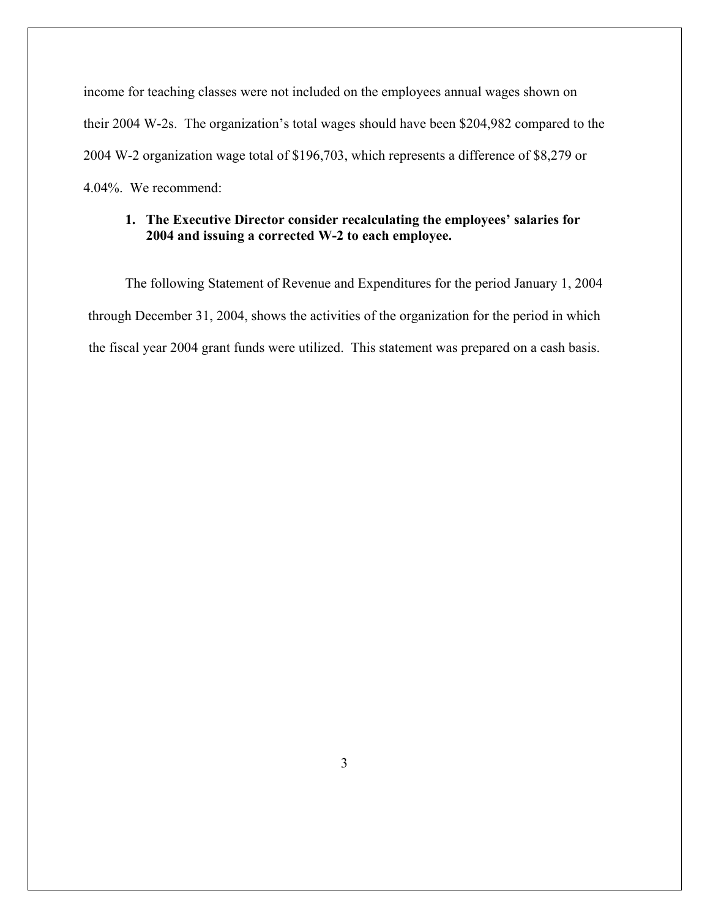income for teaching classes were not included on the employees annual wages shown on their 2004 W-2s. The organization's total wages should have been \$204,982 compared to the 2004 W-2 organization wage total of \$196,703, which represents a difference of \$8,279 or 4.04%. We recommend:

## **1. The Executive Director consider recalculating the employees' salaries for 2004 and issuing a corrected W-2 to each employee.**

The following Statement of Revenue and Expenditures for the period January 1, 2004 through December 31, 2004, shows the activities of the organization for the period in which the fiscal year 2004 grant funds were utilized. This statement was prepared on a cash basis.